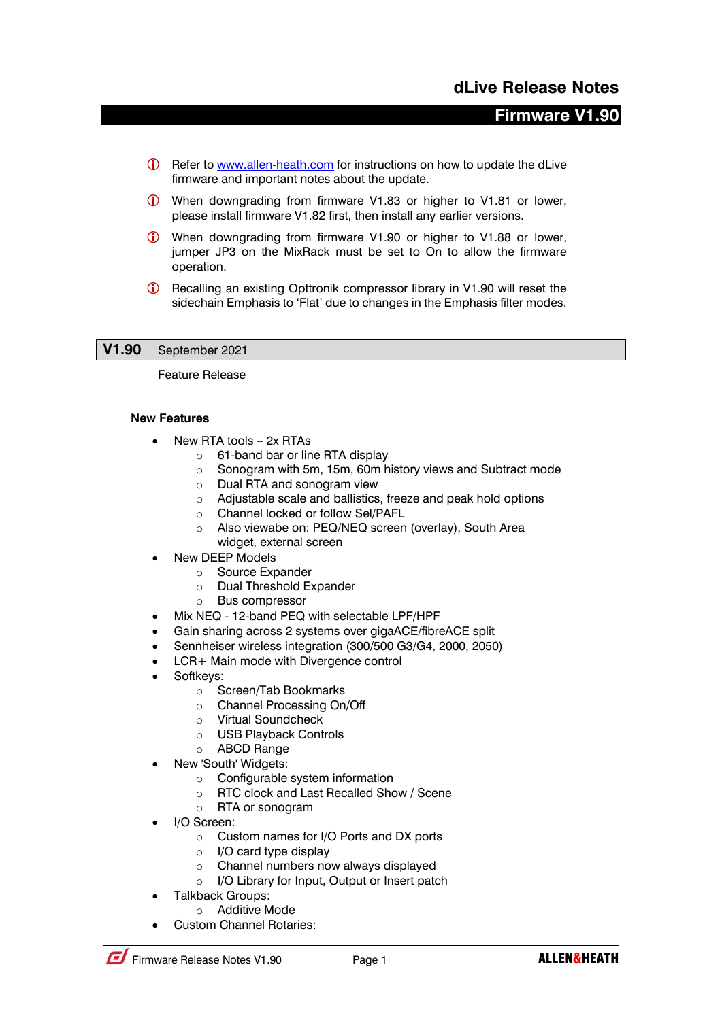# **Firmware V1.90**

- G Refer to [www.allen-heath.com](http://www.allen-heath.com/) for instructions on how to update the dLive firmware and important notes about the update.
- When downgrading from firmware V1.83 or higher to V1.81 or lower, please install firmware V1.82 first, then install any earlier versions.
- When downgrading from firmware V1.90 or higher to V1.88 or lower, jumper JP3 on the MixRack must be set to On to allow the firmware operation.
- Recalling an existing Opttronik compressor library in V1.90 will reset the sidechain Emphasis to 'Flat' due to changes in the Emphasis filter modes.

# **V1.90** September 2021

Feature Release

#### **New Features**

- New RTA tools 2x RTAs
	- o 61-band bar or line RTA display
	- o Sonogram with 5m, 15m, 60m history views and Subtract mode
	- o Dual RTA and sonogram view
	- o Adjustable scale and ballistics, freeze and peak hold options
	- o Channel locked or follow Sel/PAFL
	- o Also viewabe on: PEQ/NEQ screen (overlay), South Area widget, external screen
- New DEEP Models
	- o Source Expander
	- o Dual Threshold Expander
	- o Bus compressor
- Mix NEQ 12-band PEQ with selectable LPF/HPF
- Gain sharing across 2 systems over gigaACE/fibreACE split
- Sennheiser wireless integration (300/500 G3/G4, 2000, 2050)
- LCR+ Main mode with Divergence control
- Softkeys:
	- o Screen/Tab Bookmarks
	- o Channel Processing On/Off
	- o Virtual Soundcheck
	- o USB Playback Controls
	- o ABCD Range
- New 'South' Widgets:
	- $\circ$  Configurable system information
	- o RTC clock and Last Recalled Show / Scene
	- o RTA or sonogram
- I/O Screen:
	- o Custom names for I/O Ports and DX ports
	- o I/O card type display
	- o Channel numbers now always displayed
	- o I/O Library for Input, Output or Insert patch
- Talkback Groups:
	- o Additive Mode
- Custom Channel Rotaries: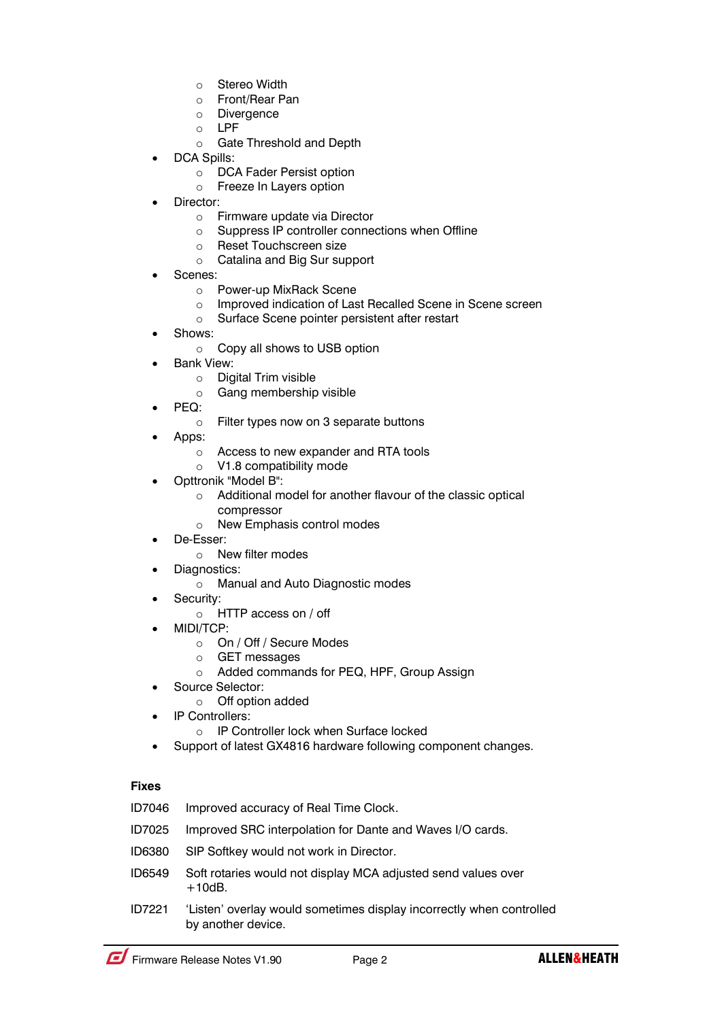- o Stereo Width
- o Front/Rear Pan
- o Divergence
- o LPF
	- o Gate Threshold and Depth
- DCA Spills:
	- o DCA Fader Persist option
	- o Freeze In Layers option
- Director:
	- o Firmware update via Director
	- o Suppress IP controller connections when Offline
	- o Reset Touchscreen size
	- o Catalina and Big Sur support
- Scenes:
	- o Power-up MixRack Scene
	- o Improved indication of Last Recalled Scene in Scene screen
	- o Surface Scene pointer persistent after restart
- Shows:
	- o Copy all shows to USB option
- Bank View:
	- o Digital Trim visible
	- o Gang membership visible
- PEQ:
	- o Filter types now on 3 separate buttons
- Apps:
	- o Access to new expander and RTA tools
	- o V1.8 compatibility mode
- Opttronik "Model B":
	- o Additional model for another flavour of the classic optical compressor
	- o New Emphasis control modes
- De-Esser:
	- o New filter modes
	- Diagnostics:
		- o Manual and Auto Diagnostic modes
- Security:
	- o HTTP access on / off
- MIDI/TCP:
	- o On / Off / Secure Modes
	- o GET messages
	- o Added commands for PEQ, HPF, Group Assign
- Source Selector:
	- o Off option added
- IP Controllers:
	- o IP Controller lock when Surface locked
- Support of latest GX4816 hardware following component changes.

| ID7046 | Improved accuracy of Real Time Clock. |
|--------|---------------------------------------|
|        |                                       |

- ID7025 Improved SRC interpolation for Dante and Waves I/O cards.
- ID6380 SIP Softkey would not work in Director.
- ID6549 Soft rotaries would not display MCA adjusted send values over  $+10dB.$
- ID7221 'Listen' overlay would sometimes display incorrectly when controlled by another device.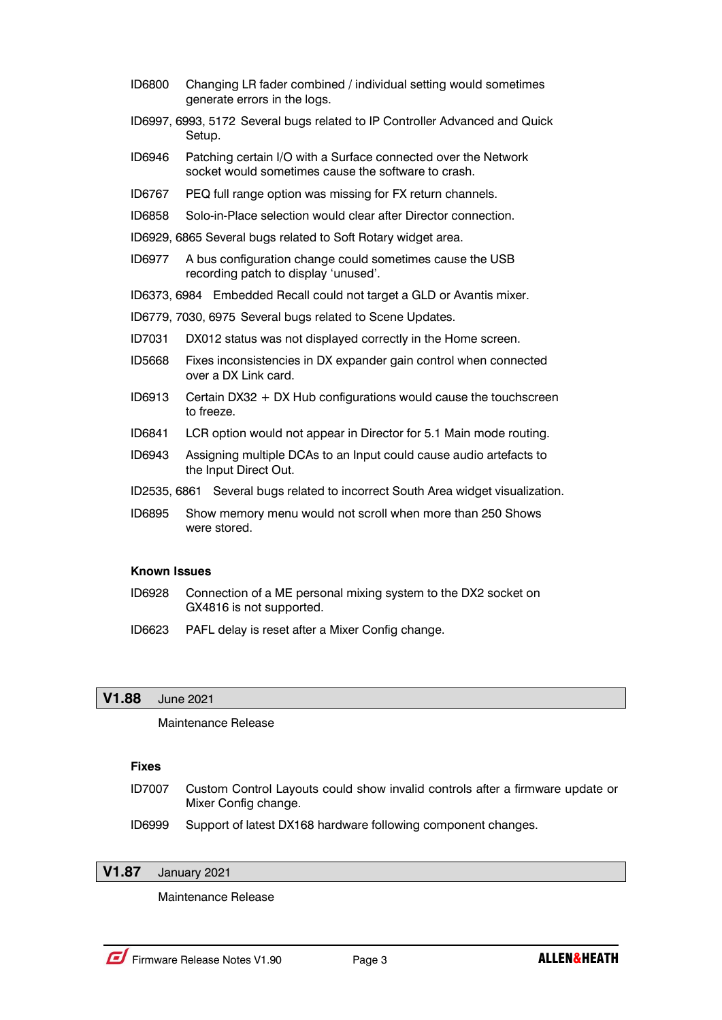- ID6800 Changing LR fader combined / individual setting would sometimes generate errors in the logs.
- ID6997, 6993, 5172 Several bugs related to IP Controller Advanced and Quick Setup.
- ID6946 Patching certain I/O with a Surface connected over the Network socket would sometimes cause the software to crash.
- ID6767 PEQ full range option was missing for FX return channels.
- ID6858 Solo-in-Place selection would clear after Director connection.
- ID6929, 6865 Several bugs related to Soft Rotary widget area.
- ID6977 A bus configuration change could sometimes cause the USB recording patch to display 'unused'.
- ID6373, 6984 Embedded Recall could not target a GLD or Avantis mixer.
- ID6779, 7030, 6975 Several bugs related to Scene Updates.
- ID7031 DX012 status was not displayed correctly in the Home screen.
- ID5668 Fixes inconsistencies in DX expander gain control when connected over a DX Link card.
- ID6913 Certain DX32 + DX Hub configurations would cause the touchscreen to freeze.
- ID6841 LCR option would not appear in Director for 5.1 Main mode routing.
- ID6943 Assigning multiple DCAs to an Input could cause audio artefacts to the Input Direct Out.
- ID2535, 6861 Several bugs related to incorrect South Area widget visualization.
- ID6895 Show memory menu would not scroll when more than 250 Shows were stored.

### **Known Issues**

- ID6928 Connection of a ME personal mixing system to the DX2 socket on GX4816 is not supported.
- ID6623 PAFL delay is reset after a Mixer Config change.

### **V1.88** June 2021

Maintenance Release

### **Fixes**

- ID7007 Custom Control Layouts could show invalid controls after a firmware update or Mixer Config change.
- ID6999 Support of latest DX168 hardware following component changes.

# **V1.87** January 2021

Maintenance Release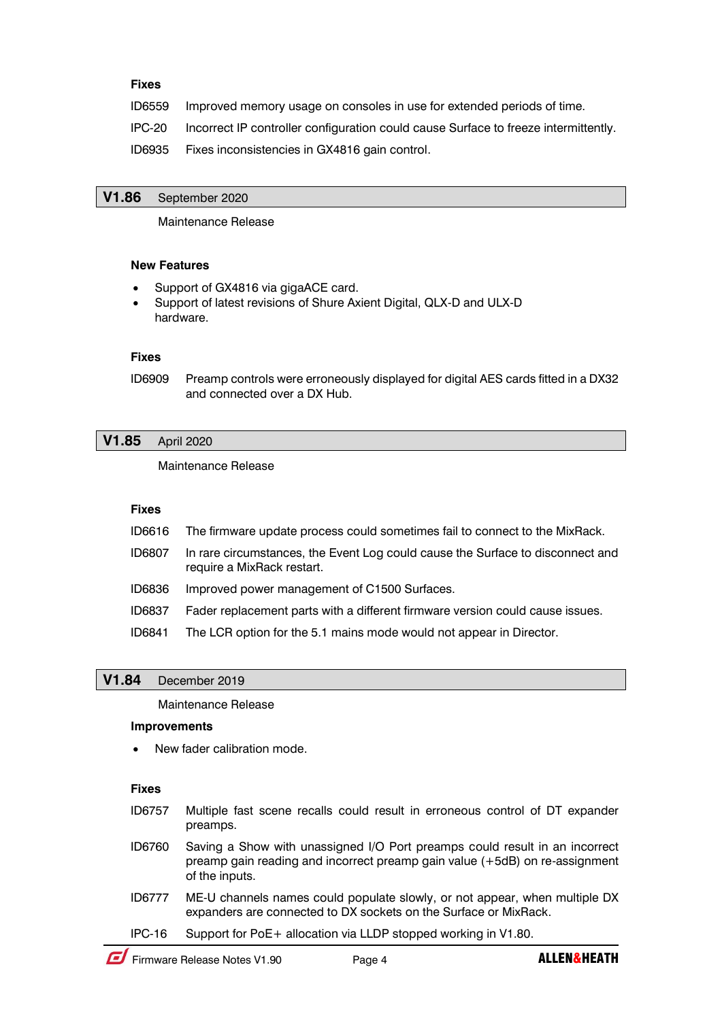### **Fixes**

ID6559 Improved memory usage on consoles in use for extended periods of time.

IPC-20 Incorrect IP controller configuration could cause Surface to freeze intermittently.

ID6935 Fixes inconsistencies in GX4816 gain control.

### **V1.86** September 2020

Maintenance Release

#### **New Features**

- Support of GX4816 via gigaACE card.
- Support of latest revisions of Shure Axient Digital, QLX-D and ULX-D hardware.

#### **Fixes**

ID6909 Preamp controls were erroneously displayed for digital AES cards fitted in a DX32 and connected over a DX Hub.

# **V1.85** April 2020

Maintenance Release

### **Fixes**

| ID6616 The firmware update process could sometimes fail to connect to the MixRack. |  |  |  |
|------------------------------------------------------------------------------------|--|--|--|
|                                                                                    |  |  |  |

- ID6807 In rare circumstances, the Event Log could cause the Surface to disconnect and require a MixRack restart.
- ID6836 Improved power management of C1500 Surfaces.
- ID6837 Fader replacement parts with a different firmware version could cause issues.
- ID6841 The LCR option for the 5.1 mains mode would not appear in Director.

# **V1.84** December 2019

Maintenance Release

#### **Improvements**

New fader calibration mode.

- ID6757 Multiple fast scene recalls could result in erroneous control of DT expander preamps.
- ID6760 Saving a Show with unassigned I/O Port preamps could result in an incorrect preamp gain reading and incorrect preamp gain value (+5dB) on re-assignment of the inputs.
- ID6777 ME-U channels names could populate slowly, or not appear, when multiple DX expanders are connected to DX sockets on the Surface or MixRack.
- IPC-16 Support for PoE+ allocation via LLDP stopped working in V1.80.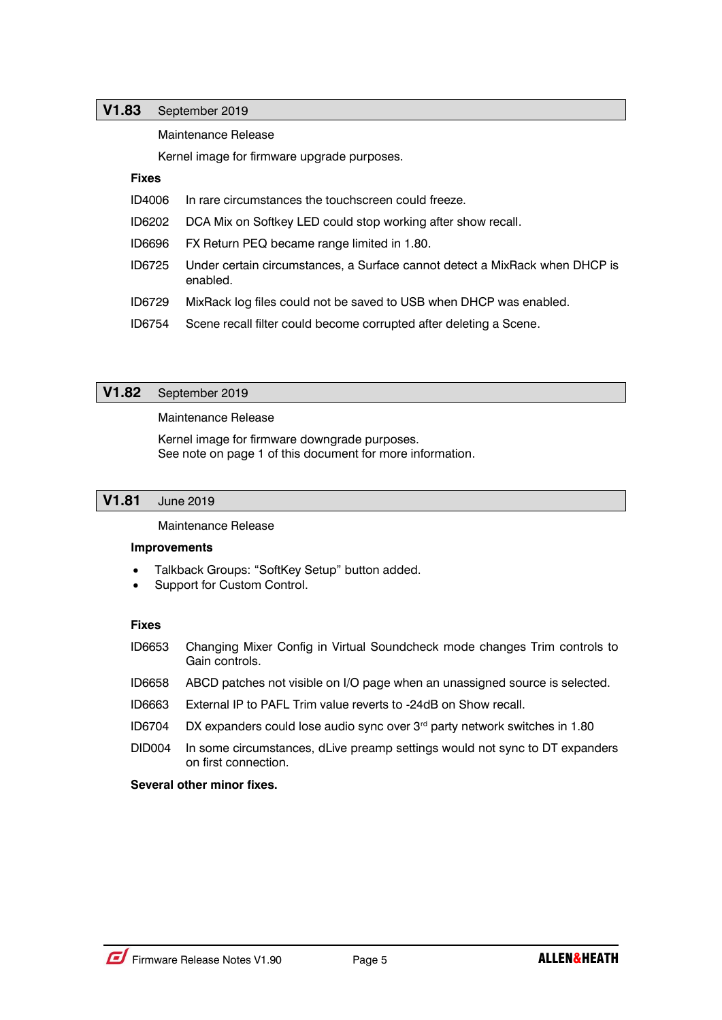# **V1.83** September 2019

Maintenance Release

Kernel image for firmware upgrade purposes.

# **Fixes**

- ID4006 In rare circumstances the touchscreen could freeze.
- ID6202 DCA Mix on Softkey LED could stop working after show recall.
- ID6696 FX Return PEQ became range limited in 1.80.
- ID6725 Under certain circumstances, a Surface cannot detect a MixRack when DHCP is enabled.
- ID6729 MixRack log files could not be saved to USB when DHCP was enabled.
- ID6754 Scene recall filter could become corrupted after deleting a Scene.

# **V1.82** September 2019

Maintenance Release

Kernel image for firmware downgrade purposes. See note on page 1 of this document for more information.

# **V1.81** June 2019

Maintenance Release

#### **Improvements**

- Talkback Groups: "SoftKey Setup" button added.
- Support for Custom Control.

# **Fixes**

- ID6653 Changing Mixer Config in Virtual Soundcheck mode changes Trim controls to Gain controls.
- ID6658 ABCD patches not visible on I/O page when an unassigned source is selected.
- ID6663 External IP to PAFL Trim value reverts to -24dB on Show recall.
- ID6704 DX expanders could lose audio sync over 3rd party network switches in 1.80
- DID004 In some circumstances, dLive preamp settings would not sync to DT expanders on first connection.

# **Several other minor fixes.**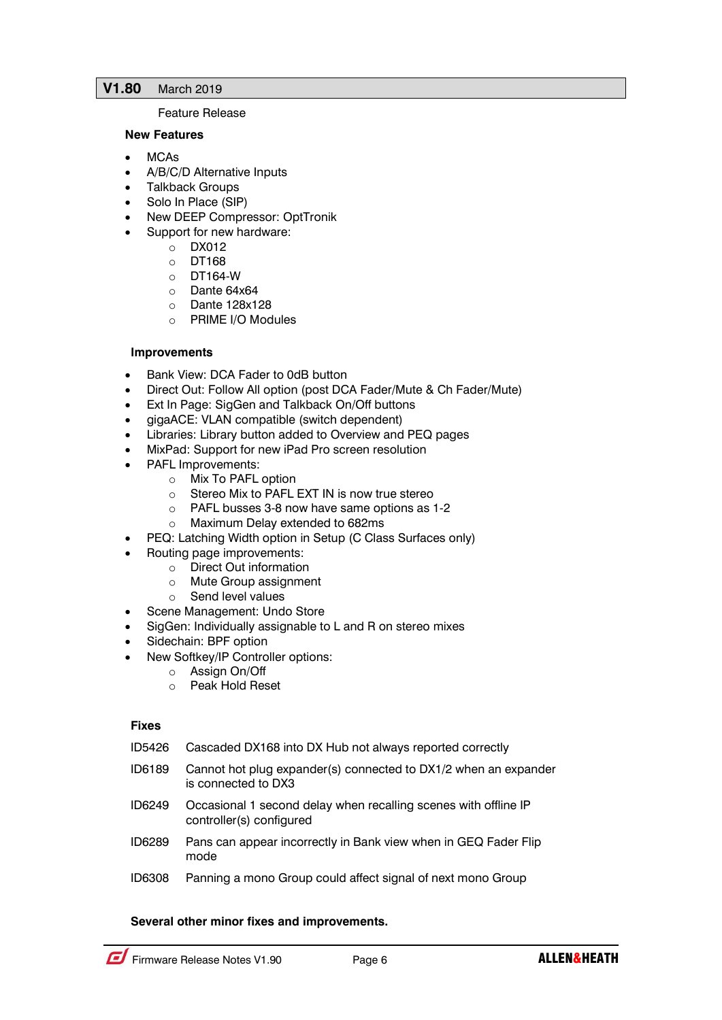# **V1.80** March 2019

### Feature Release

### **New Features**

- MCAs
- A/B/C/D Alternative Inputs
- Talkback Groups
- Solo In Place (SIP)
- New DEEP Compressor: OptTronik
- Support for new hardware:
	- o DX012
		- o DT168
		- o DT164-W
	- o Dante 64x64<br>o Dante 128x1
	- Dante 128x128
	- o PRIME I/O Modules

# **Improvements**

- Bank View: DCA Fader to 0dB button
- Direct Out: Follow All option (post DCA Fader/Mute & Ch Fader/Mute)
- Ext In Page: SigGen and Talkback On/Off buttons
- gigaACE: VLAN compatible (switch dependent)
- Libraries: Library button added to Overview and PEQ pages
- MixPad: Support for new iPad Pro screen resolution
- PAFL Improvements:
	- o Mix To PAFL option
	- o Stereo Mix to PAFL EXT IN is now true stereo
	- o PAFL busses 3-8 now have same options as 1-2
	- o Maximum Delay extended to 682ms
- PEQ: Latching Width option in Setup (C Class Surfaces only)
- Routing page improvements:
	- o Direct Out information
	- o Mute Group assignment
	- o Send level values
- Scene Management: Undo Store
- SigGen: Individually assignable to L and R on stereo mixes
- Sidechain: BPF option
- New Softkey/IP Controller options:
	- o Assign On/Off
		- o Peak Hold Reset

#### **Fixes**

- ID5426 Cascaded DX168 into DX Hub not always reported correctly
- ID6189 Cannot hot plug expander(s) connected to DX1/2 when an expander is connected to DX3
- ID6249 Occasional 1 second delay when recalling scenes with offline IP controller(s) configured
- ID6289 Pans can appear incorrectly in Bank view when in GEQ Fader Flip mode
- ID6308 Panning a mono Group could affect signal of next mono Group

# **Several other minor fixes and improvements.**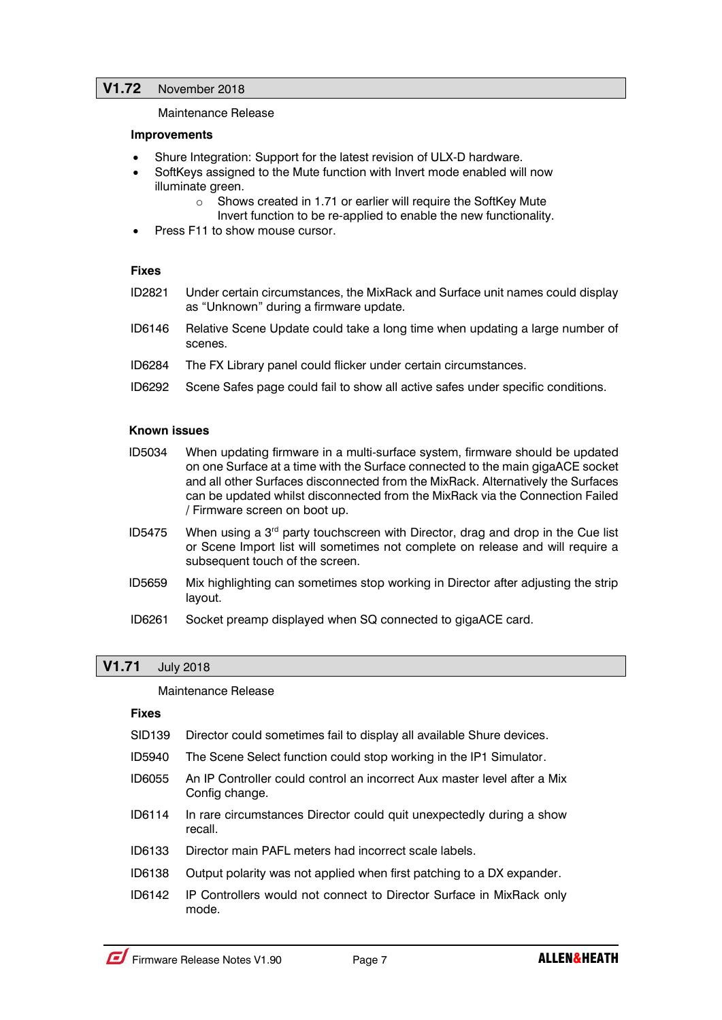Maintenance Release

### **Improvements**

- Shure Integration: Support for the latest revision of ULX-D hardware.
- SoftKeys assigned to the Mute function with Invert mode enabled will now illuminate green.
	- o Shows created in 1.71 or earlier will require the SoftKey Mute Invert function to be re-applied to enable the new functionality.
- Press F11 to show mouse cursor.

### **Fixes**

- ID2821 Under certain circumstances, the MixRack and Surface unit names could display as "Unknown" during a firmware update.
- ID6146 Relative Scene Update could take a long time when updating a large number of scenes.
- ID6284 The FX Library panel could flicker under certain circumstances.
- ID6292 Scene Safes page could fail to show all active safes under specific conditions.

### **Known issues**

- ID5034 When updating firmware in a multi-surface system, firmware should be updated on one Surface at a time with the Surface connected to the main gigaACE socket and all other Surfaces disconnected from the MixRack. Alternatively the Surfaces can be updated whilst disconnected from the MixRack via the Connection Failed / Firmware screen on boot up.
- ID5475 When using a  $3<sup>rd</sup>$  party touchscreen with Director, drag and drop in the Cue list or Scene Import list will sometimes not complete on release and will require a subsequent touch of the screen.
- ID5659 Mix highlighting can sometimes stop working in Director after adjusting the strip layout.
- ID6261 Socket preamp displayed when SQ connected to gigaACE card.

# **V1.71** July 2018

#### Maintenance Release

- SID139 Director could sometimes fail to display all available Shure devices.
- ID5940 The Scene Select function could stop working in the IP1 Simulator.
- ID6055 An IP Controller could control an incorrect Aux master level after a Mix Config change.
- ID6114 In rare circumstances Director could quit unexpectedly during a show recall.
- ID6133 Director main PAFL meters had incorrect scale labels.
- ID6138 Output polarity was not applied when first patching to a DX expander.
- ID6142 IP Controllers would not connect to Director Surface in MixRack only mode.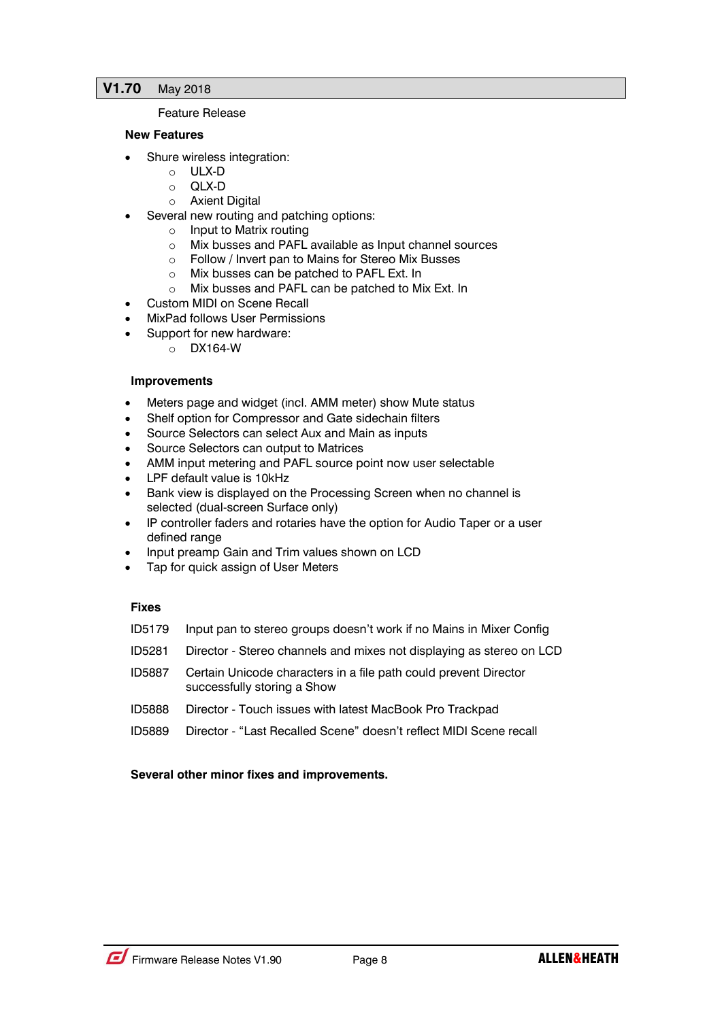# **V1.70** May 2018

### Feature Release

### **New Features**

- Shure wireless integration:
	- o ULX-D
	- o QLX-D
	- o Axient Digital
- Several new routing and patching options:
	- o Input to Matrix routing
	- o Mix busses and PAFL available as Input channel sources
	- o Follow / Invert pan to Mains for Stereo Mix Busses
	- o Mix busses can be patched to PAFL Ext. In
	- o Mix busses and PAFL can be patched to Mix Ext. In
- Custom MIDI on Scene Recall
- MixPad follows User Permissions
	- Support for new hardware:
		- o DX164-W

### **Improvements**

- Meters page and widget (incl. AMM meter) show Mute status
- Shelf option for Compressor and Gate sidechain filters
- Source Selectors can select Aux and Main as inputs
- Source Selectors can output to Matrices
- AMM input metering and PAFL source point now user selectable
- LPF default value is 10kHz
- Bank view is displayed on the Processing Screen when no channel is selected (dual-screen Surface only)
- IP controller faders and rotaries have the option for Audio Taper or a user defined range
- Input preamp Gain and Trim values shown on LCD
- Tap for quick assign of User Meters

# **Fixes**

- ID5179 Input pan to stereo groups doesn't work if no Mains in Mixer Config
- ID5281 Director Stereo channels and mixes not displaying as stereo on LCD
- ID5887 Certain Unicode characters in a file path could prevent Director successfully storing a Show
- ID5888 Director Touch issues with latest MacBook Pro Trackpad
- ID5889 Director "Last Recalled Scene" doesn't reflect MIDI Scene recall

# **Several other minor fixes and improvements.**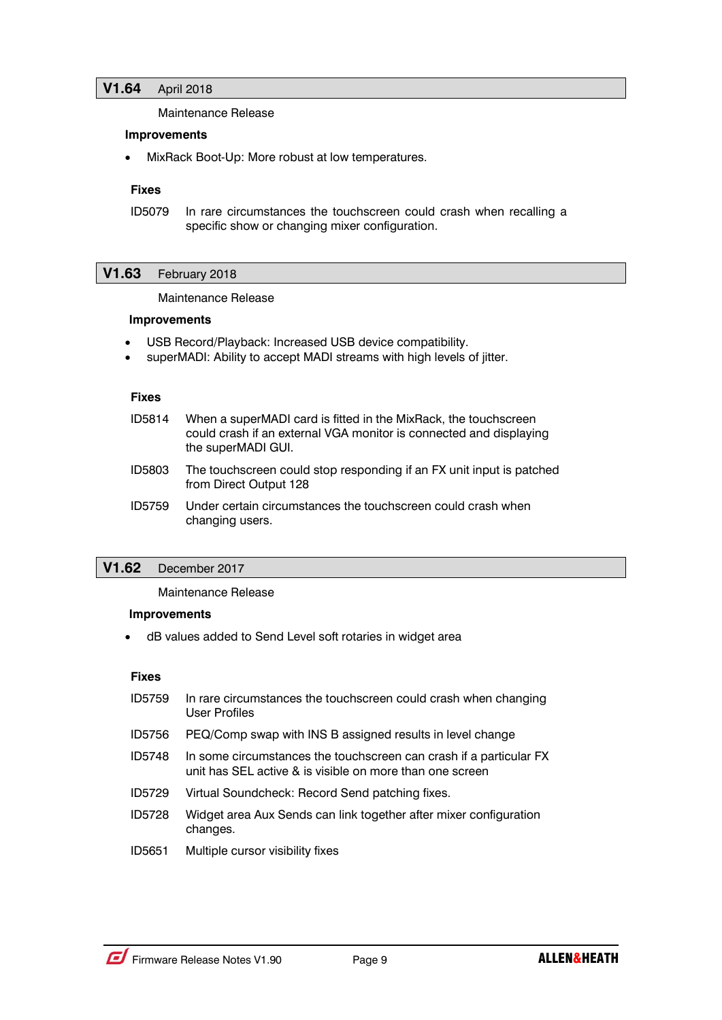Maintenance Release

#### **Improvements**

• MixRack Boot-Up: More robust at low temperatures.

#### **Fixes**

ID5079 In rare circumstances the touchscreen could crash when recalling a specific show or changing mixer configuration.

### **V1.63** February 2018

Maintenance Release

#### **Improvements**

- USB Record/Playback: Increased USB device compatibility.
- superMADI: Ability to accept MADI streams with high levels of jitter.

#### **Fixes**

- ID5814 When a superMADI card is fitted in the MixRack, the touchscreen could crash if an external VGA monitor is connected and displaying the superMADI GUI.
- ID5803 The touchscreen could stop responding if an FX unit input is patched from Direct Output 128
- ID5759 Under certain circumstances the touchscreen could crash when changing users.

# **V1.62** December 2017

Maintenance Release

#### **Improvements**

dB values added to Send Level soft rotaries in widget area

- ID5759 In rare circumstances the touchscreen could crash when changing User Profiles ID5756 PEQ/Comp swap with INS B assigned results in level change
- ID5748 In some circumstances the touchscreen can crash if a particular FX unit has SEL active & is visible on more than one screen
- ID5729 Virtual Soundcheck: Record Send patching fixes.
- ID5728 Widget area Aux Sends can link together after mixer configuration changes.
- ID5651 Multiple cursor visibility fixes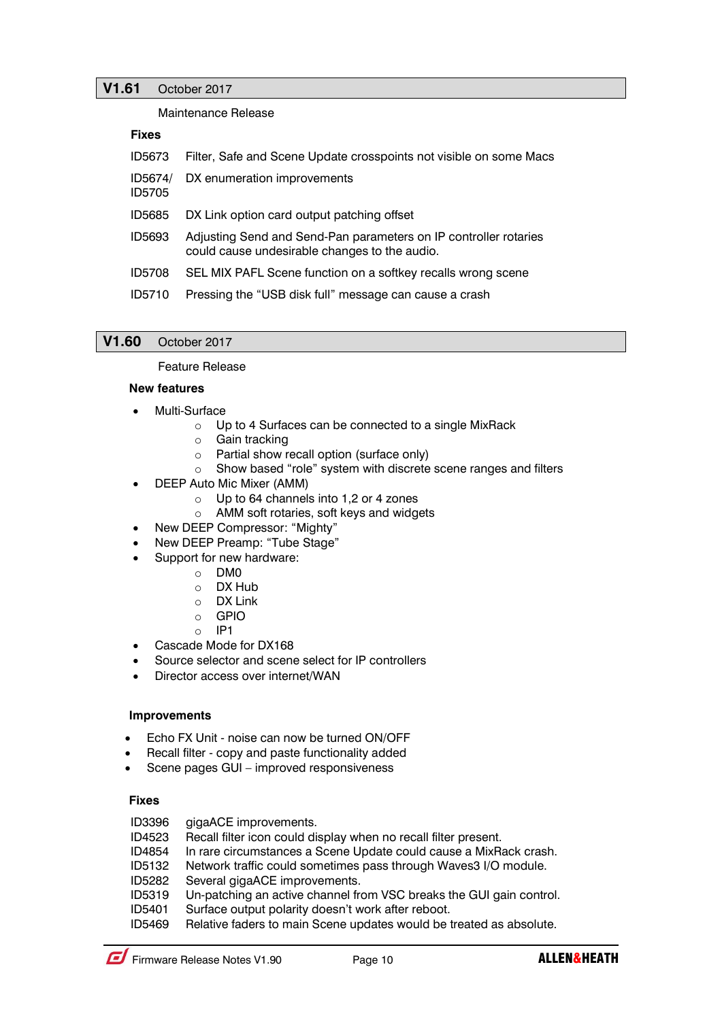# **V1.61** October 2017

Maintenance Release

### **Fixes**

| <b>ID5673</b>            | Filter, Safe and Scene Update crosspoints not visible on some Macs                                                |
|--------------------------|-------------------------------------------------------------------------------------------------------------------|
| ID5674/<br><b>ID5705</b> | DX enumeration improvements                                                                                       |
| ID5685                   | DX Link option card output patching offset                                                                        |
| ID5693                   | Adjusting Send and Send-Pan parameters on IP controller rotaries<br>could cause undesirable changes to the audio. |
| <b>ID5708</b>            | SEL MIX PAFL Scene function on a softkey recalls wrong scene                                                      |
| ID5710                   | Pressing the "USB disk full" message can cause a crash                                                            |

# **V1.60** October 2017

#### Feature Release

### **New features**

- Multi-Surface
	- o Up to 4 Surfaces can be connected to a single MixRack
	- o Gain tracking
	- o Partial show recall option (surface only)
	- o Show based "role" system with discrete scene ranges and filters
- DEEP Auto Mic Mixer (AMM)
	- o Up to 64 channels into 1,2 or 4 zones
	- o AMM soft rotaries, soft keys and widgets
- New DEEP Compressor: "Mighty"
- New DEEP Preamp: "Tube Stage"
- Support for new hardware:
	- o DM0
	- o DX Hub
	- o DX Link
	- o GPIO
	- $O$  IP1
- Cascade Mode for DX168
- Source selector and scene select for IP controllers
- Director access over internet/WAN

# **Improvements**

- Echo FX Unit noise can now be turned ON/OFF
- Recall filter copy and paste functionality added
- Scene pages GUI improved responsiveness

# **Fixes**

ID3396 gigaACE improvements.

- ID4523 Recall filter icon could display when no recall filter present.
- ID4854 In rare circumstances a Scene Update could cause a MixRack crash.
- ID5132 Network traffic could sometimes pass through Waves3 I/O module.
- ID5282 Several gigaACE improvements.
- ID5319 Un-patching an active channel from VSC breaks the GUI gain control.
- ID5401 Surface output polarity doesn't work after reboot.
- ID5469 Relative faders to main Scene updates would be treated as absolute.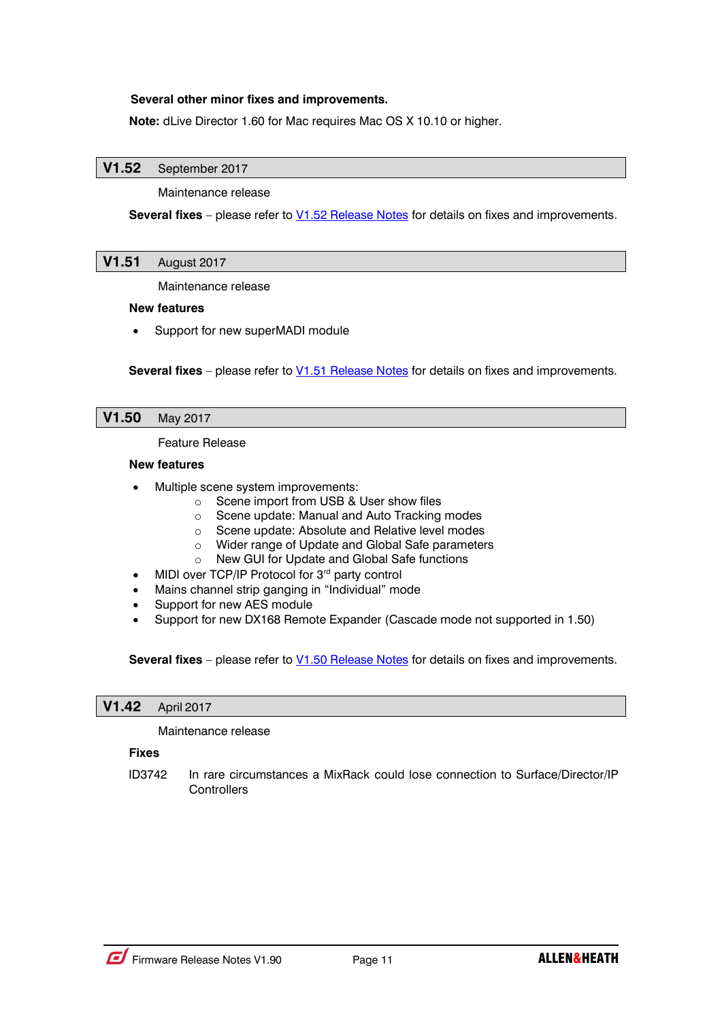# **Several other minor fixes and improvements.**

**Note:** dLive Director 1.60 for Mac requires Mac OS X 10.10 or higher.

# **V1.52** September 2017

Maintenance release

**Several fixes** – please refer to **V1.52 Release Notes** for details on fixes and improvements.

# **V1.51** August 2017

Maintenance release

### **New features**

Support for new superMADI module

**Several fixes** – please refer to **V1.51 Release Notes** for details on fixes and improvements.

# **V1.50** May 2017

Feature Release

#### **New features**

- Multiple scene system improvements:
	- o Scene import from USB & User show files
	- o Scene update: Manual and Auto Tracking modes
	- o Scene update: Absolute and Relative level modes
	- o Wider range of Update and Global Safe parameters
	- o New GUI for Update and Global Safe functions
- MIDI over TCP/IP Protocol for 3<sup>rd</sup> party control
- Mains channel strip ganging in "Individual" mode
- Support for new AES module
- Support for new DX168 Remote Expander (Cascade mode not supported in 1.50)

**Several fixes** – please refer to **V1.50 Release Notes** for details on fixes and improvements.

### **V1.42** April 2017

#### Maintenance release

### **Fixes**

ID3742 In rare circumstances a MixRack could lose connection to Surface/Director/IP **Controllers**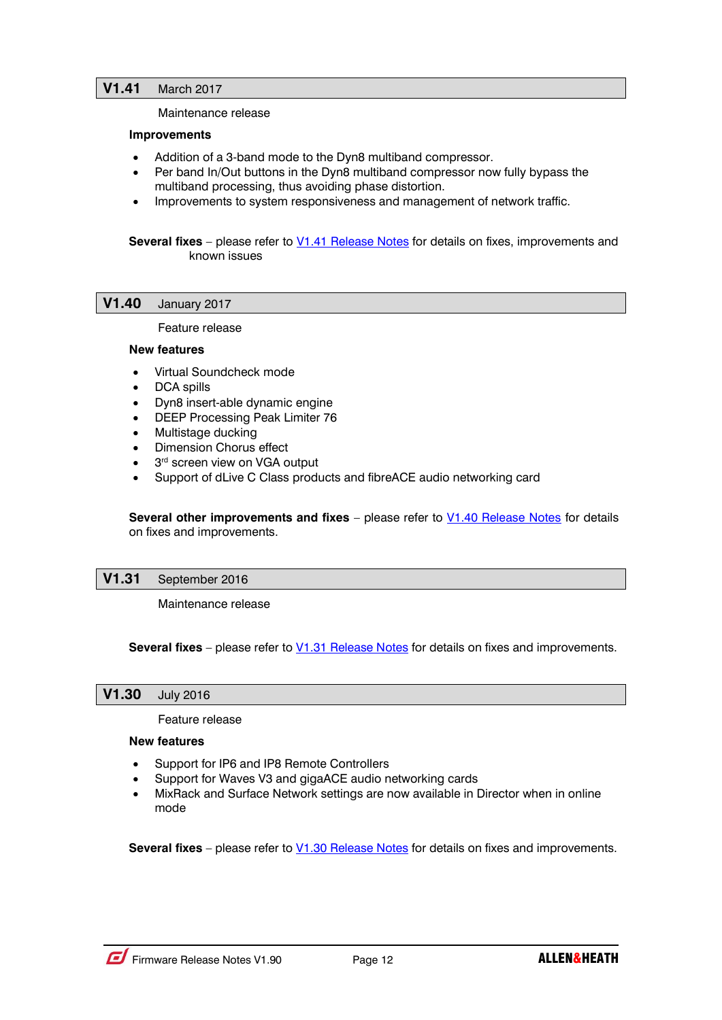#### Maintenance release

### **Improvements**

- Addition of a 3-band mode to the Dyn8 multiband compressor.
- Per band In/Out buttons in the Dyn8 multiband compressor now fully bypass the multiband processing, thus avoiding phase distortion.
- Improvements to system responsiveness and management of network traffic.

**Several fixes** – please refer to **V1.41 Release Notes** for details on fixes, improvements and known issues

### **V1.40** January 2017

Feature release

#### **New features**

- Virtual Soundcheck mode
- DCA spills
- Dyn8 insert-able dynamic engine
- DEEP Processing Peak Limiter 76
- Multistage ducking
- Dimension Chorus effect
- 3<sup>rd</sup> screen view on VGA output
- Support of dLive C Class products and fibreACE audio networking card

**Several other improvements and fixes** – please refer to **V1.40 Release Notes** for details on fixes and improvements.

### **V1.31** September 2016

Maintenance release

**Several fixes** – please refer to [V1.31 Release Notes](http://www.allen-heath.com/media/dLive-Release-Notes-V1.31.pdf) for details on fixes and improvements.

# **V1.30** July 2016

Feature release

### **New features**

- Support for IP6 and IP8 Remote Controllers
- Support for Waves V3 and gigaACE audio networking cards
- MixRack and Surface Network settings are now available in Director when in online mode

**Several fixes** – please refer to [V1.30 Release Notes](http://www.allen-heath.com/media/dLive-Release-Notes-V1.30.pdf) for details on fixes and improvements.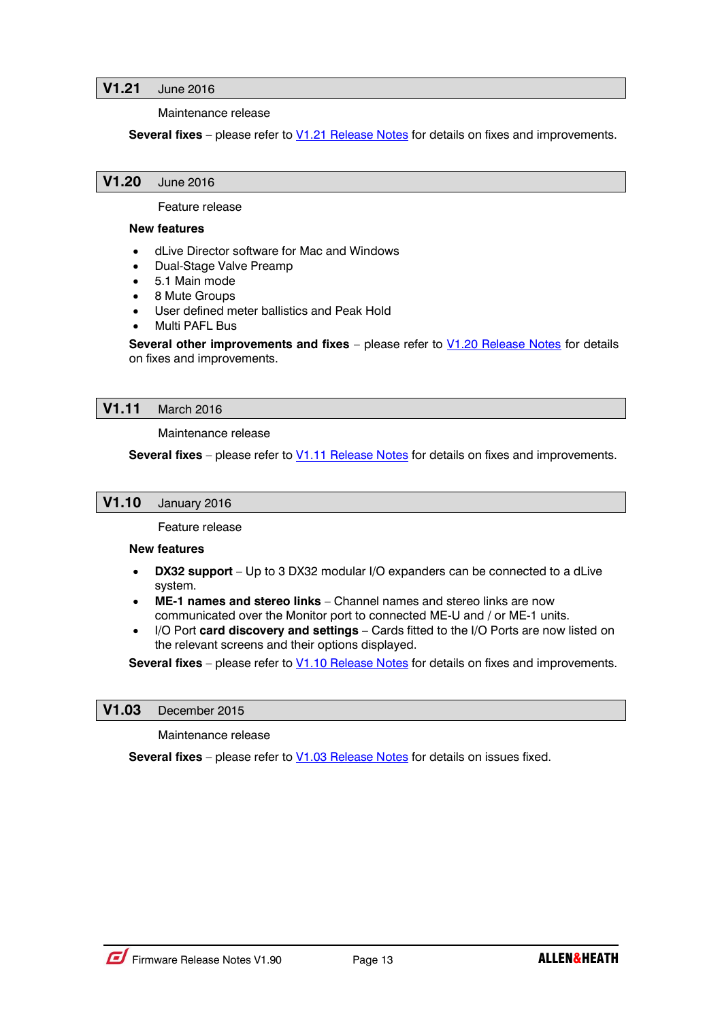# **V1.21** June 2016

Maintenance release

**Several fixes** – please refer to **V1.21 Release Notes** for details on fixes and improvements.

### **V1.20** June 2016

Feature release

#### **New features**

- dLive Director software for Mac and Windows
- Dual-Stage Valve Preamp
- 5.1 Main mode
- 8 Mute Groups
- User defined meter ballistics and Peak Hold
- Multi PAFL Bus

**Several other improvements and fixes** – please refer to **V1.20 Release Notes** for details on fixes and improvements.

### **V1.11** March 2016

Maintenance release

**Several fixes** – please refer to [V1.11 Release Notes](http://www.allen-heath.com/media/dLive-Release-Notes-V1.11.pdf) for details on fixes and improvements.

### **V1.10** January 2016

Feature release

### **New features**

- **DX32 support** Up to 3 DX32 modular I/O expanders can be connected to a dLive system.
- **ME-1 names and stereo links** Channel names and stereo links are now communicated over the Monitor port to connected ME-U and / or ME-1 units.
- I/O Port **card discovery and settings** Cards fitted to the I/O Ports are now listed on the relevant screens and their options displayed.

**Several fixes** – please refer to **V1.10 Release Notes** for details on fixes and improvements.

### **V1.03** December 2015

Maintenance release

**Several fixes** – please refer to [V1.03 Release Notes](http://www.allen-heath.com/media/dLive-Release-Notes-V1.03.pdf) for details on issues fixed.